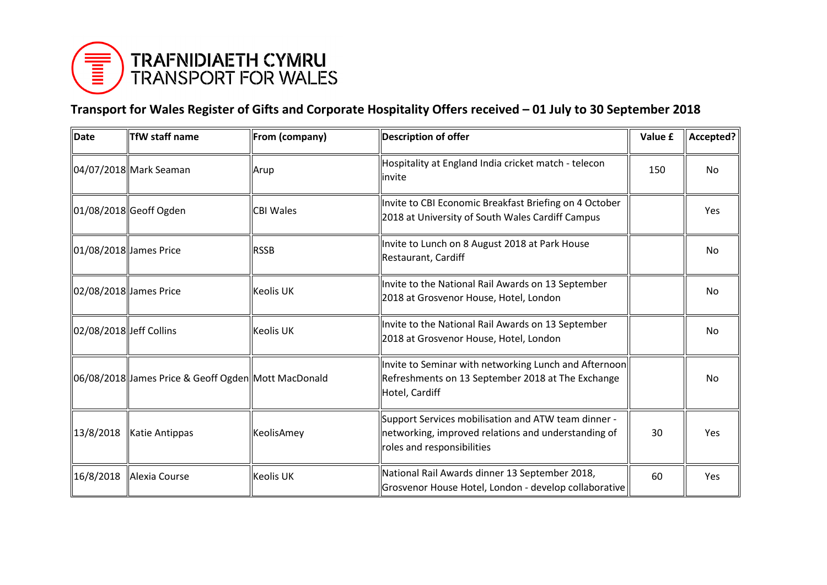

## **Transport for Wales Register of Gifts and Corporate Hospitality Offers received – 01 July to 30 September 2018**

| <b>Date</b>             | <b>TfW staff name</b>                               | From (company)   | <b>Description of offer</b>                                                                                                              | Value £ | Accepted? |
|-------------------------|-----------------------------------------------------|------------------|------------------------------------------------------------------------------------------------------------------------------------------|---------|-----------|
|                         | 04/07/2018 Mark Seaman                              | Arup             | Hospitality at England India cricket match - telecon<br>linvite                                                                          | 150     | No        |
|                         | 01/08/2018 Geoff Ogden                              | <b>CBI Wales</b> | Invite to CBI Economic Breakfast Briefing on 4 October<br>2018 at University of South Wales Cardiff Campus                               |         | Yes       |
|                         | 01/08/2018 James Price                              | <b>RSSB</b>      | Invite to Lunch on 8 August 2018 at Park House<br>Restaurant, Cardiff                                                                    |         | No        |
|                         | 02/08/2018 James Price                              | <b>Keolis UK</b> | Invite to the National Rail Awards on 13 September<br>2018 at Grosvenor House, Hotel, London                                             |         | No        |
| 02/08/2018 Jeff Collins |                                                     | <b>Keolis UK</b> | Invite to the National Rail Awards on 13 September<br>2018 at Grosvenor House, Hotel, London                                             |         | No        |
|                         | 06/08/2018 James Price & Geoff Ogden Mott MacDonald |                  | Invite to Seminar with networking Lunch and Afternoon <br>Refreshments on 13 September 2018 at The Exchange<br>Hotel, Cardiff            |         | No        |
| 13/8/2018               | Katie Antippas                                      | KeolisAmey       | Support Services mobilisation and ATW team dinner -<br>networking, improved relations and understanding of<br>roles and responsibilities | 30      | Yes       |
| 16/8/2018               | Alexia Course                                       | <b>Keolis UK</b> | National Rail Awards dinner 13 September 2018,<br>Grosvenor House Hotel, London - develop collaborative                                  | 60      | Yes       |